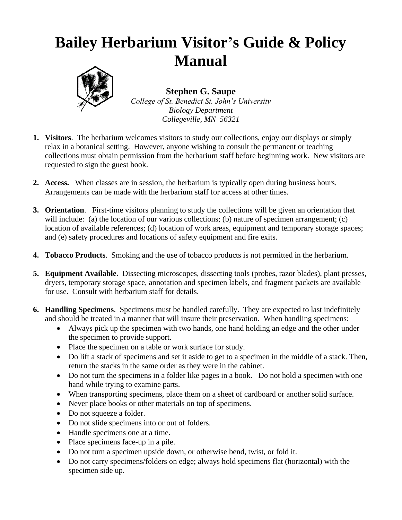## **Bailey Herbarium Visitor's Guide & Policy Manual**



**Stephen G. Saupe**

*College of St. Benedict|St. John's University Biology Department Collegeville, MN 56321*

- **1. Visitors**. The herbarium welcomes visitors to study our collections, enjoy our displays or simply relax in a botanical setting. However, anyone wishing to consult the permanent or teaching collections must obtain permission from the herbarium staff before beginning work. New visitors are requested to sign the guest book.
- **2. Access.** When classes are in session, the herbarium is typically open during business hours. Arrangements can be made with the herbarium staff for access at other times.
- **3. Orientation**. First-time visitors planning to study the collections will be given an orientation that will include: (a) the location of our various collections; (b) nature of specimen arrangement; (c) location of available references; (d) location of work areas, equipment and temporary storage spaces; and (e) safety procedures and locations of safety equipment and fire exits.
- **4. Tobacco Products**. Smoking and the use of tobacco products is not permitted in the herbarium.
- **5. Equipment Available.** Dissecting microscopes, dissecting tools (probes, razor blades), plant presses, dryers, temporary storage space, annotation and specimen labels, and fragment packets are available for use. Consult with herbarium staff for details.
- **6. Handling Specimens**. Specimens must be handled carefully. They are expected to last indefinitely and should be treated in a manner that will insure their preservation. When handling specimens:
	- Always pick up the specimen with two hands, one hand holding an edge and the other under the specimen to provide support.
	- Place the specimen on a table or work surface for study.
	- Do lift a stack of specimens and set it aside to get to a specimen in the middle of a stack. Then, return the stacks in the same order as they were in the cabinet.
	- Do not turn the specimens in a folder like pages in a book. Do not hold a specimen with one hand while trying to examine parts.
	- When transporting specimens, place them on a sheet of cardboard or another solid surface.
	- Never place books or other materials on top of specimens.
	- Do not squeeze a folder.
	- Do not slide specimens into or out of folders.
	- Handle specimens one at a time.
	- Place specimens face-up in a pile.
	- Do not turn a specimen upside down, or otherwise bend, twist, or fold it.
	- Do not carry specimens/folders on edge; always hold specimens flat (horizontal) with the specimen side up.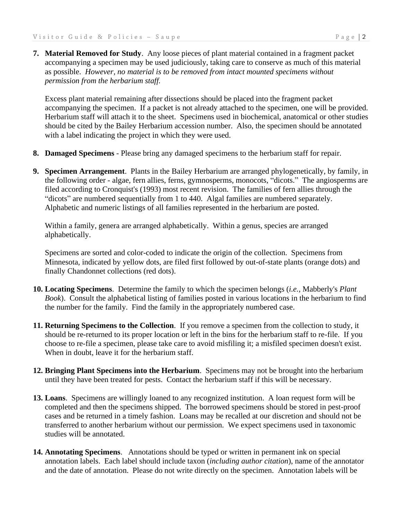**7. Material Removed for Study**. Any loose pieces of plant material contained in a fragment packet accompanying a specimen may be used judiciously, taking care to conserve as much of this material as possible. *However, no material is to be removed from intact mounted specimens without permission from the herbarium staff.*

Excess plant material remaining after dissections should be placed into the fragment packet accompanying the specimen. If a packet is not already attached to the specimen, one will be provided. Herbarium staff will attach it to the sheet. Specimens used in biochemical, anatomical or other studies should be cited by the Bailey Herbarium accession number. Also, the specimen should be annotated with a label indicating the project in which they were used.

- **8. Damaged Specimens** Please bring any damaged specimens to the herbarium staff for repair.
- **9. Specimen Arrangement**. Plants in the Bailey Herbarium are arranged phylogenetically, by family, in the following order - algae, fern allies, ferns, gymnosperms, monocots, "dicots." The angiosperms are filed according to Cronquist's (1993) most recent revision. The families of fern allies through the "dicots" are numbered sequentially from 1 to 440. Algal families are numbered separately. Alphabetic and numeric listings of all families represented in the herbarium are posted.

Within a family, genera are arranged alphabetically. Within a genus, species are arranged alphabetically.

Specimens are sorted and color-coded to indicate the origin of the collection. Specimens from Minnesota, indicated by yellow dots, are filed first followed by out-of-state plants (orange dots) and finally Chandonnet collections (red dots).

- **10. Locating Specimens**. Determine the family to which the specimen belongs (*i.e.,* Mabberly's *Plant Book*). Consult the alphabetical listing of families posted in various locations in the herbarium to find the number for the family. Find the family in the appropriately numbered case.
- **11. Returning Specimens to the Collection**. If you remove a specimen from the collection to study, it should be re-returned to its proper location or left in the bins for the herbarium staff to re-file. If you choose to re-file a specimen, please take care to avoid misfiling it; a misfiled specimen doesn't exist. When in doubt, leave it for the herbarium staff.
- **12. Bringing Plant Specimens into the Herbarium**. Specimens may not be brought into the herbarium until they have been treated for pests. Contact the herbarium staff if this will be necessary.
- **13. Loans**. Specimens are willingly loaned to any recognized institution. A loan request form will be completed and then the specimens shipped. The borrowed specimens should be stored in pest-proof cases and be returned in a timely fashion. Loans may be recalled at our discretion and should not be transferred to another herbarium without our permission. We expect specimens used in taxonomic studies will be annotated.
- **14. Annotating Specimens**. Annotations should be typed or written in permanent ink on special annotation labels. Each label should include taxon (*including author citation*), name of the annotator and the date of annotation. Please do not write directly on the specimen. Annotation labels will be